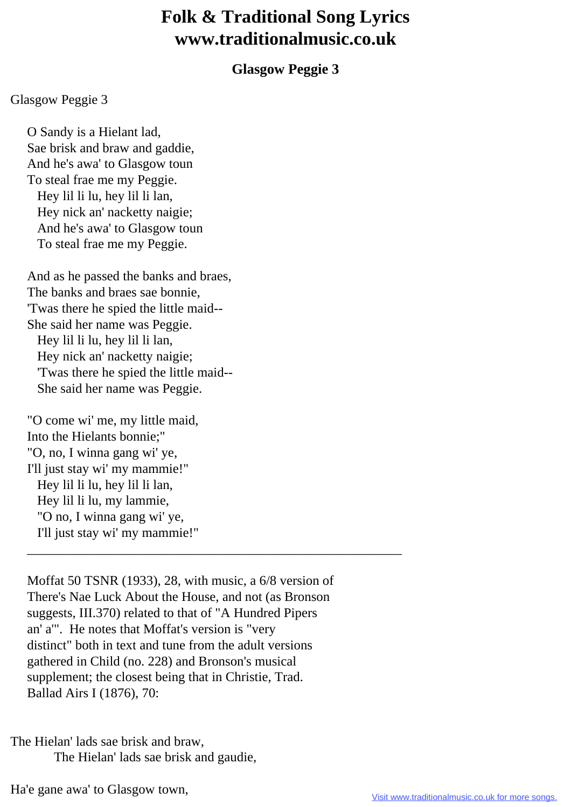## **Folk & Traditional Song Lyrics www.traditionalmusic.co.uk**

## **Glasgow Peggie 3**

## Glasgow Peggie 3

 O Sandy is a Hielant lad, Sae brisk and braw and gaddie, And he's awa' to Glasgow toun To steal frae me my Peggie. Hey lil li lu, hey lil li lan, Hey nick an' nacketty naigie; And he's awa' to Glasgow toun To steal frae me my Peggie.

 And as he passed the banks and braes, The banks and braes sae bonnie, 'Twas there he spied the little maid-- She said her name was Peggie. Hey lil li lu, hey lil li lan, Hey nick an' nacketty naigie; 'Twas there he spied the little maid-- She said her name was Peggie.

 "O come wi' me, my little maid, Into the Hielants bonnie;" "O, no, I winna gang wi' ye, I'll just stay wi' my mammie!" Hey lil li lu, hey lil li lan, Hey lil li lu, my lammie, "O no, I winna gang wi' ye, I'll just stay wi' my mammie!"

 Moffat 50 TSNR (1933), 28, with music, a 6/8 version of There's Nae Luck About the House, and not (as Bronson suggests, III.370) related to that of "A Hundred Pipers an' a'". He notes that Moffat's version is "very distinct" both in text and tune from the adult versions gathered in Child (no. 228) and Bronson's musical supplement; the closest being that in Christie, Trad. Ballad Airs I (1876), 70:

\_\_\_\_\_\_\_\_\_\_\_\_\_\_\_\_\_\_\_\_\_\_\_\_\_\_\_\_\_\_\_\_\_\_\_\_\_\_\_\_\_\_\_\_\_\_\_\_\_\_\_\_\_\_\_\_

The Hielan' lads sae brisk and braw, The Hielan' lads sae brisk and gaudie,